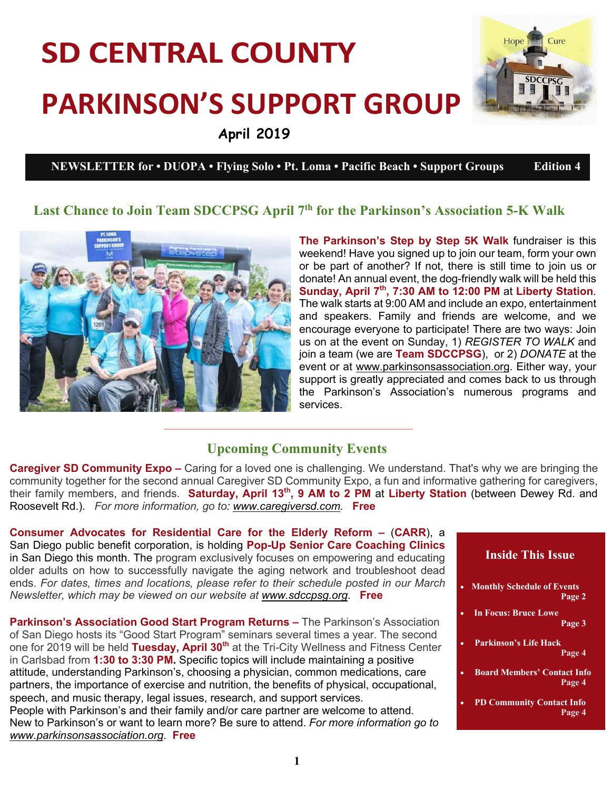# **SD CENTRAL COUNTY PARKINSON'S SUPPORT GROUP April 2019**



**NEWSLETTER for • DUOPA • Flying Solo • Pt. Loma • Pacific Beach • Support Groups Edition 4** 

## **Last Chance to Join Team SDCCPSG April 7th for the Parkinson's Association 5-K Walk**



**The Parkinson's Step by Step 5K Walk** fundraiser is this weekend! Have you signed up to join our team, form your own or be part of another? If not, there is still time to join us or donate! An annual event, the dog-friendly walk will be held this **Sunday, April 7th, 7:30 AM to 12:00 PM** at **Liberty Station**. The walk starts at 9:00 AM and include an expo, entertainment and speakers. Family and friends are welcome, and we encourage everyone to participate! There are two ways: Join us on at the event on Sunday, 1) *REGISTER TO WALK* and join a team (we are **Team SDCCPSG**), or 2) *DONATE* at the event or at www.parkinsonsassociation.org. Either way, your support is greatly appreciated and comes back to us through the Parkinson's Association's numerous programs and services.

#### **Upcoming Community Events**

**Caregiver SD Community Expo –** Caring for a loved one is challenging. We understand. That's why we are bringing the community together for the second annual Caregiver SD Community Expo, a fun and informative gathering for caregivers, their family members, and friends. **Saturday, April 13th, 9 AM to 2 PM** at **Liberty Station** (between Dewey Rd. and Roosevelt Rd.). *For more information, go to: www.caregiversd.com.* **Free**

**Consumer Advocates for Residential Care for the Elderly Reform –** (**CARR**), a San Diego public benefit corporation, is holding **Pop-Up Senior Care Coaching Clinics**  in San Diego this month. The program exclusively focuses on empowering and educating older adults on how to successfully navigate the aging network and troubleshoot dead ends. *For dates, times and locations, please refer to their schedule posted in our March Newsletter, which may be viewed on our website at www.sdccpsg.org*. **Free**

**Parkinson's Association Good Start Program Returns –** The Parkinson's Association of San Diego hosts its "Good Start Program" seminars several times a year. The second one for 2019 will be held **Tuesday, April 30th** at the Tri-City Wellness and Fitness Center in Carlsbad from **1:30 to 3:30 PM.** Specific topics will include maintaining a positive attitude, understanding Parkinson's, choosing a physician, common medications, care partners, the importance of exercise and nutrition, the benefits of physical, occupational, speech, and music therapy, legal issues, research, and support services. People with Parkinson's and their family and/or care partner are welcome to attend. New to Parkinson's or want to learn more? Be sure to attend. *For more information go to www.parkinsonsassociation.org*. **Free**

#### **Inside This Issue**

- **Monthly Schedule of Events Page 2**
- **In Focus: Bruce Lowe Page 3**
- **Parkinson's Life Hack Page 4**
- **Board Members' Contact Info Page 4**
- **PD Community Contact Info Page 4**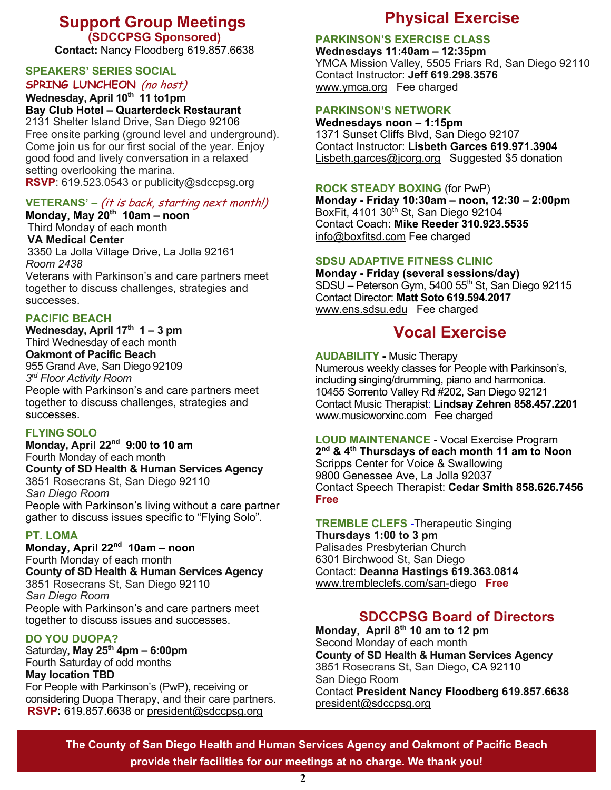### **Support Group Meetings (SDCCPSG Sponsored)**

**Contact:** Nancy Floodberg 619.857.6638

#### **SPEAKERS' SERIES SOCIAL SPRING LUNCHEON** (no host)

Wednesday, April 10<sup>th</sup> 11 to1pm **Bay Club Hotel – Quarterdeck Restaurant**

2131 Shelter Island Drive, San Diego 92106 Free onsite parking (ground level and underground). Come join us for our first social of the year. Enjoy good food and lively conversation in a relaxed setting overlooking the marina. **RSVP**: 619.523.0543 or publicity@sdccpsg.org

#### **VETERANS' –** (it is back, starting next month!)

**Monday, May 20th 10am – noon** Third Monday of each month **VA Medical Center** 3350 La Jolla Village Drive, La Jolla 92161 *Room 2438*  Veterans with Parkinson's and care partners meet together to discuss challenges, strategies and successes.

#### **PACIFIC BEACH**

**Wednesday, April 17th 1 – 3 pm** Third Wednesday of each month **Oakmont of Pacific Beach**  955 Grand Ave, San Diego 92109 *3rd Floor Activity Room* People with Parkinson's and care partners meet

together to discuss challenges, strategies and successes.

#### **FLYING SOLO**

**Monday, April 22nd 9:00 to 10 am** Fourth Monday of each month **County of SD Health & Human Services Agency** 3851 Rosecrans St, San Diego 92110 *San Diego Room*  People with Parkinson's living without a care partner gather to discuss issues specific to "Flying Solo".

#### **PT. LOMA**

**Monday, April 22nd 10am – noon** Fourth Monday of each month **County of SD Health & Human Services Agency** 3851 Rosecrans St, San Diego 92110 *San Diego Room* People with Parkinson's and care partners meet together to discuss issues and successes.

#### **DO YOU DUOPA?**

Saturday**, May 25th 4pm – 6:00pm** Fourth Saturday of odd months **May location TBD**

For People with Parkinson's (PwP), receiving or considering Duopa Therapy, and their care partners. **RSVP:** 619.857.6638 or president@sdccpsg.org

# **Physical Exercise**

#### **PARKINSON'S EXERCISE CLASS**

**Wednesdays 11:40am – 12:35pm** YMCA Mission Valley, 5505 Friars Rd, San Diego 92110 Contact Instructor: **Jeff 619.298.3576**  www.ymca.org Fee charged

#### **PARKINSON'S NETWORK**

**Wednesdays noon – 1:15pm** 1371 Sunset Cliffs Blvd, San Diego 92107 Contact Instructor: **Lisbeth Garces 619.971.3904** Lisbeth.garces@jcorg.org Suggested \$5 donation

#### **ROCK STEADY BOXING** (for PwP)

**Monday - Friday 10:30am – noon, 12:30 – 2:00pm** BoxFit, 4101 30<sup>th</sup> St, San Diego 92104 Contact Coach: **Mike Reeder 310.923.5535** info@boxfitsd.com Fee charged

#### **SDSU ADAPTIVE FITNESS CLINIC**

**Monday - Friday (several sessions/day)** SDSU – Peterson Gym, 5400 55th St, San Diego 92115 Contact Director: **Matt Soto 619.594.2017** www.ens.sdsu.edu Fee charged

## **Vocal Exercise**

**AUDABILITY -** Music Therapy

Numerous weekly classes for People with Parkinson's, including singing/drumming, piano and harmonica. 10455 Sorrento Valley Rd #202, San Diego 92121 Contact Music Therapist: **Lindsay Zehren 858.457.2201** www.musicworxinc.com Fee charged

**LOUD MAINTENANCE -** Vocal Exercise Program **2nd & 4th Thursdays of each month 11 am to Noon** Scripps Center for Voice & Swallowing 9800 Genessee Ave, La Jolla 92037 Contact Speech Therapist: **Cedar Smith 858.626.7456 Free**

**TREMBLE CLEFS -**Therapeutic Singing **Thursdays 1:00 to 3 pm** Palisades Presbyterian Church 6301 Birchwood St, San Diego Contact: **Deanna Hastings 619.363.0814** www.trembleclefs.com/san-diego **Free**

# **SDCCPSG Board of Directors**

**Monday, April 8th 10 am to 12 pm** Second Monday of each month **County of SD Health & Human Services Agency** 3851 Rosecrans St, San Diego, CA 92110 San Diego Room Contact **President Nancy Floodberg 619.857.6638** president@sdccpsg.org

**The County of San Diego Health and Human Services Agency and Oakmont of Pacific Beach provide their facilities for our meetings at no charge. We thank you!**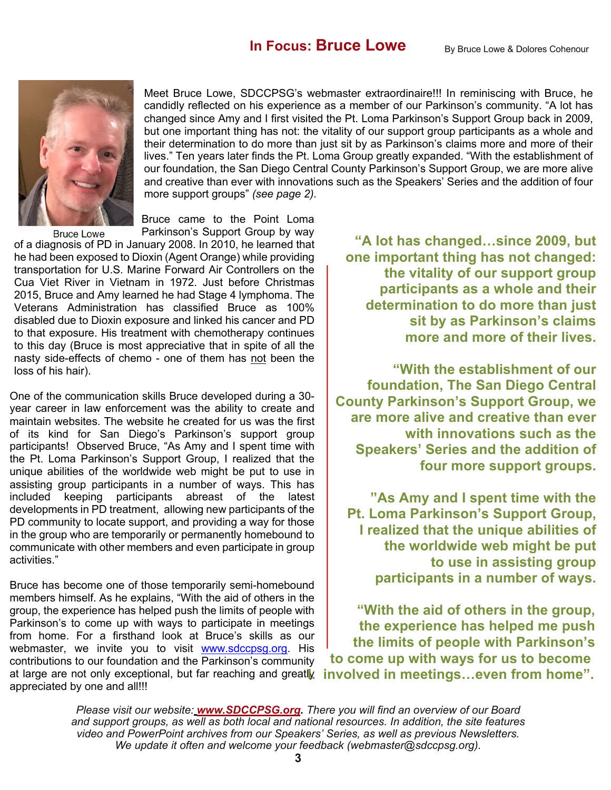

Meet Bruce Lowe, SDCCPSG's webmaster extraordinaire!!! In reminiscing with Bruce, he candidly reflected on his experience as a member of our Parkinson's community. "A lot has changed since Amy and I first visited the Pt. Loma Parkinson's Support Group back in 2009, but one important thing has not: the vitality of our support group participants as a whole and their determination to do more than just sit by as Parkinson's claims more and more of their lives." Ten years later finds the Pt. Loma Group greatly expanded. "With the establishment of our foundation, the San Diego Central County Parkinson's Support Group, we are more alive and creative than ever with innovations such as the Speakers' Series and the addition of four more support groups" *(see page 2).*

Bruce came to the Point Loma

Parkinson's Support Group by way **Bruce Lowe** of a diagnosis of PD in January 2008. In 2010, he learned that he had been exposed to Dioxin (Agent Orange) while providing transportation for U.S. Marine Forward Air Controllers on the Cua Viet River in Vietnam in 1972. Just before Christmas 2015, Bruce and Amy learned he had Stage 4 lymphoma. The Veterans Administration has classified Bruce as 100% disabled due to Dioxin exposure and linked his cancer and PD to that exposure. His treatment with chemotherapy continues to this day (Bruce is most appreciative that in spite of all the nasty side-effects of chemo - one of them has not been the loss of his hair).

One of the communication skills Bruce developed during a 30 year career in law enforcement was the ability to create and maintain websites. The website he created for us was the first of its kind for San Diego's Parkinson's support group participants! Observed Bruce, "As Amy and I spent time with the Pt. Loma Parkinson's Support Group, I realized that the unique abilities of the worldwide web might be put to use in assisting group participants in a number of ways. This has included keeping participants abreast of the latest developments in PD treatment, allowing new participants of the PD community to locate support, and providing a way for those in the group who are temporarily or permanently homebound to communicate with other members and even participate in group activities."

Bruce has become one of those temporarily semi-homebound members himself. As he explains, "With the aid of others in the group, the experience has helped push the limits of people with Parkinson's to come up with ways to participate in meetings from home. For a firsthand look at Bruce's skills as our webmaster, we invite you to visit www.sdccpsg.org. His contributions to our foundation and the Parkinson's community at large are not only exceptional, but far reaching and greatly appreciated by one and all!!!

**"A lot has changed…since 2009, but one important thing has not changed: the vitality of our support group participants as a whole and their determination to do more than just sit by as Parkinson's claims more and more of their lives.**

**"With the establishment of our foundation, The San Diego Central County Parkinson's Support Group, we are more alive and creative than ever with innovations such as the Speakers' Series and the addition of four more support groups.**

**"As Amy and I spent time with the Pt. Loma Parkinson's Support Group, I realized that the unique abilities of the worldwide web might be put to use in assisting group participants in a number of ways.** 

**"With the aid of others in the group, the experience has helped me push the limits of people with Parkinson's to come up with ways for us to become I. involved in meetings…even from home".**

*Please visit our website: www.SDCCPSG.org. There you will find an overview of our Board and support groups, as well as both local and national resources. In addition, the site features video and PowerPoint archives from our Speakers' Series, as well as previous Newsletters. We update it often and welcome your feedback (webmaster@sdccpsg.org).*